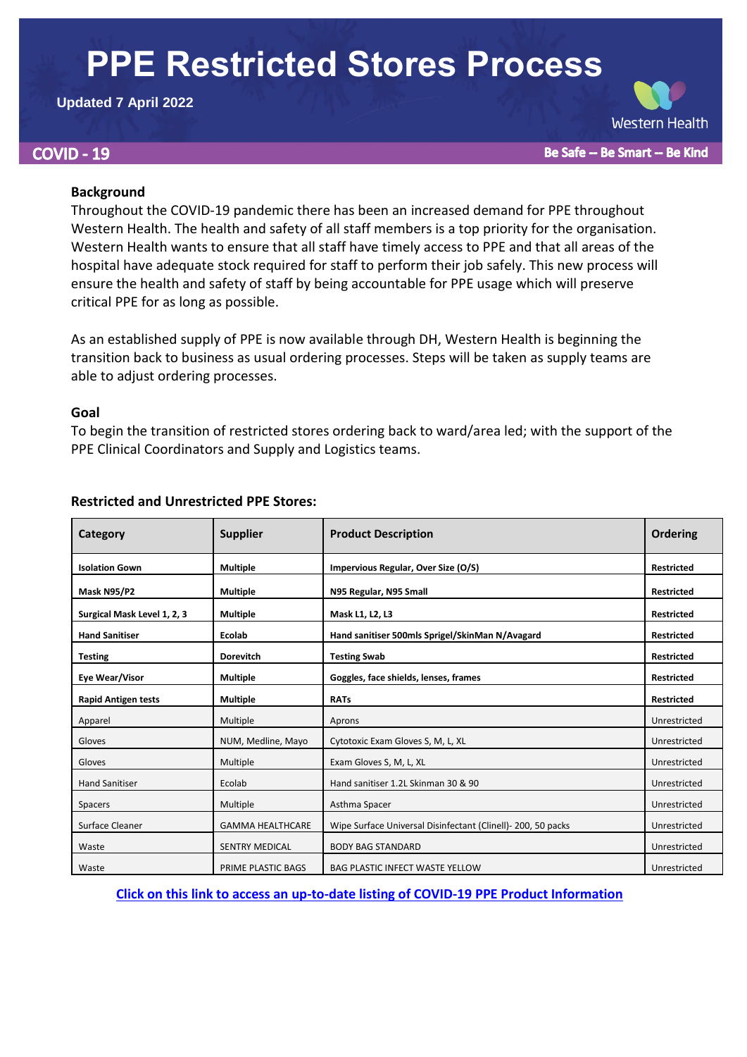# **PPE Restricted Stores Process**

## **Updated 7 April 2022**

# **COVID - 19**

Be Safe -- Be Smart -- Be Kind

**Western Health** 

## **Background**

Throughout the COVID-19 pandemic there has been an increased demand for PPE throughout Western Health. The health and safety of all staff members is a top priority for the organisation. Western Health wants to ensure that all staff have timely access to PPE and that all areas of the hospital have adequate stock required for staff to perform their job safely. This new process will ensure the health and safety of staff by being accountable for PPE usage which will preserve critical PPE for as long as possible.

As an established supply of PPE is now available through DH, Western Health is beginning the transition back to business as usual ordering processes. Steps will be taken as supply teams are able to adjust ordering processes.

### **Goal**

To begin the transition of restricted stores ordering back to ward/area led; with the support of the PPE Clinical Coordinators and Supply and Logistics teams.

| Category                    | <b>Supplier</b>         | <b>Product Description</b>                                    | Ordering          |
|-----------------------------|-------------------------|---------------------------------------------------------------|-------------------|
| <b>Isolation Gown</b>       | <b>Multiple</b>         | Impervious Regular, Over Size (O/S)                           | <b>Restricted</b> |
| Mask N95/P2                 | <b>Multiple</b>         | N95 Regular, N95 Small                                        | <b>Restricted</b> |
| Surgical Mask Level 1, 2, 3 | <b>Multiple</b>         | Mask L1, L2, L3                                               | <b>Restricted</b> |
| <b>Hand Sanitiser</b>       | Ecolab                  | Hand sanitiser 500mls Sprigel/SkinMan N/Avagard               | <b>Restricted</b> |
| <b>Testing</b>              | <b>Dorevitch</b>        | <b>Testing Swab</b>                                           | <b>Restricted</b> |
| Eye Wear/Visor              | <b>Multiple</b>         | Goggles, face shields, lenses, frames                         | <b>Restricted</b> |
| <b>Rapid Antigen tests</b>  | <b>Multiple</b>         | <b>RATs</b>                                                   | <b>Restricted</b> |
| Apparel                     | Multiple                | Aprons                                                        | Unrestricted      |
| Gloves                      | NUM, Medline, Mayo      | Cytotoxic Exam Gloves S, M, L, XL                             | Unrestricted      |
| Gloves                      | Multiple                | Exam Gloves S, M, L, XL                                       | Unrestricted      |
| <b>Hand Sanitiser</b>       | Ecolab                  | Hand sanitiser 1.2L Skinman 30 & 90                           | Unrestricted      |
| Spacers                     | Multiple                | Asthma Spacer                                                 | Unrestricted      |
| Surface Cleaner             | <b>GAMMA HEALTHCARE</b> | Wipe Surface Universal Disinfectant (Clinell) - 200, 50 packs | Unrestricted      |
| Waste                       | <b>SENTRY MEDICAL</b>   | <b>BODY BAG STANDARD</b>                                      | Unrestricted      |
| Waste                       | PRIME PLASTIC BAGS      | <b>BAG PLASTIC INFECT WASTE YELLOW</b>                        | Unrestricted      |

# **Restricted and Unrestricted PPE Stores:**

**[Click on this link to access an up-to-date listing of COVID-19 PPE Product Information](http://inside.wh.org.au/departmentsandservices/Contracts/Pages/PPE%20Product%20Information.aspx)**